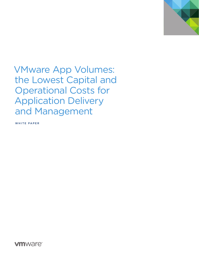

VMware App Volumes: the Lowest Capital and Operational Costs for Application Delivery and Management

WHITE PAPER

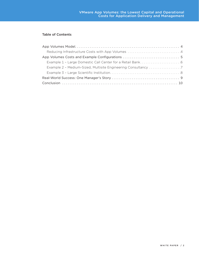## Table of Contents

| Example 2 - Medium-Sized, Multisite Engineering Consultancy 7 |  |
|---------------------------------------------------------------|--|
|                                                               |  |
|                                                               |  |
|                                                               |  |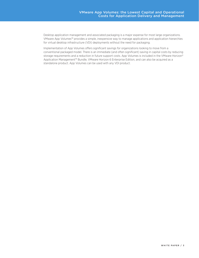Desktop application management and associated packaging is a major expense for most large organizations. VMware App Volumes™ provides a simple, inexpensive way to manage applications and application hierarchies for virtual desktop infrastructure (VDI) deployments without the need for packaging.

Implementation of App Volumes offers significant savings for organizations looking to move from a conventional packaged model. There is an immediate (and often significant) saving in capital costs by reducing storage requirements and a reduction in future support costs. App Volumes is included in the VMware Horizon® Application Management™ Bundle, VMware Horizon 6 Enterprise Edition, and can also be acquired as a standalone product. App Volumes can be used with any VDI product.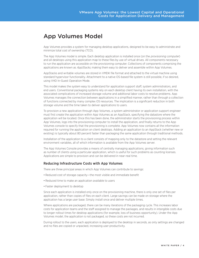## <span id="page-3-0"></span>App Volumes Model

App Volumes provides a system for managing desktop applications, designed to be easy to administrate and minimize total cost of ownership (TCO).

The App Volumes model is simple. Each desktop application is installed once (on the *provisioning computer*) and all desktops using this application map to these files by use of virtual drives. All components necessary to run the application are accessible on the provisioning computer. Collections of components comprising the applications are known as *AppStacks*, making them easy to deliver and assemble within App Volumes.

AppStacks and writable volumes are stored in VMDK file format and attached to the virtual machine using standard hypervisor functionality. Attachment to a native OS-based file system is still possible, if so desired, using VHD In-Guest Operation Mode.

This model makes the system easy to understand for application support staff, system administrators, and end users. Conventional packaging systems rely on each desktop client having its own installation, with the associated complications of increased storage volume and additional labor costs to resolve problems. App Volumes manages the connection between applications in a simplified manner, rather than through a collection of functions connected by many complex OS resources. The implication is a significant reduction in both storage volume and the time taken to deliver applications to users.

To provision a new application through App Volumes, a system administrator or application support engineer must first create the application within App Volumes as an AppStack, specifying the datastore where the application will be located. Once this has been done, the administrator starts the provisioning process within App Volumes, logs into the provisioning computer to install the application, and finally returns to the App Volumes console to specify that the provisioning is complete. App Volumes now contains all the information required for running the application on client desktops. Adding an application to an AppStack (whether new or existing) is typically about 80 percent faster than packaging the same application through traditional methods.

Installation of the application to a client consists of mapping only to the datastore and setting the relevant environment variables, all of which information is available from the App Volumes server.

The App Volumes Console provides a means of centrally managing applications, giving information such as number of clients using a particular application, which is useful for such problems as counting licenses. Applications are simple to provision and can be delivered in near-real time.

## Reducing Infrastructure Costs with App Volumes

There are three principal areas in which App Volumes can contribute to savings:

- Reduced cost of storage capacity—the most visible and immediate benefit
- Reduced time to make an application available to users
- Faster deployment to desktop

Since each application is installed only once on the provisioning machine, there is only one set of files per application, rather than copies of files on each client. Large savings can be made on storage where the application has a large user base: Simply install once and deliver multiple times.

Where applications are packaged, there can be many iterations of the packaging cycle. This increases labor costs for application teams and the staff assigned to manage the packages, and results in intangible costs due to longer rollout times for desktop applications (for example, loss of business opportunity). Under the App Volumes model, the application is not packaged, so these costs are not incurred.

During rollout to the users, each application is deployed to the desktop in seconds, as only settings are changed and no files are copied or unpacked, increasing user productivity.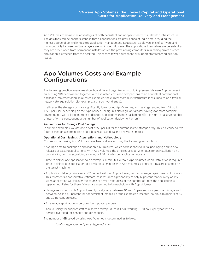<span id="page-4-0"></span>App Volumes combines the advantages of both persistent and nonpersistent virtual desktop infrastructure. The desktops can be nonpersistent, in that all applications are provisioned at login time, providing the highest degree of control in desktop application management. Issues such as old versions of software and incompatibility between software layers are minimized. However, the applications themselves are persistent as they are provisioned from permanent installations on the provisioning computers, minimizing errors as each application is attached from the desktop. This means fewer hours spent by support staff resolving desktop issues.

## App Volumes Costs and Example Configurations

The following practical examples show how different organizations could implement VMware App Volumes in an existing VDI deployment, together with estimated costs and comparisons to an equivalent conventional, packaged implementation. In all three examples, the current storage infrastructure is assumed to be a typical network storage solution (for example, a shared hybrid array).

In all cases the storage costs are significantly lower using App Volumes, with savings ranging from \$9 up to \$220 per user, depending on the type of user. The figures also highlight greater savings for more complex environments with a large number of desktop applications (where packaging effort is high), or a large number of users (with a consequent large number of application deployment errors).

### Assumptions for Storage Cost Savings

In all three examples, we assume a cost of \$5 per GB for the current shared storage array. This is a conservative figure based on a combination of our business case data and analyst estimates.

#### Operational Cost Savings: Assumptions and Methodology

Cost reductions using App Volumes have been calculated using the following assumptions:

- • Average time to package an application is 60 minutes, which corresponds to initial packaging and to new releases of existing applications. With App Volumes, the time reduces to 12 minutes for an installation on a provisioning computer, yielding a savings of 48 minutes per application update.
- • Time to deliver one application to a desktop is 10 minutes without App Volumes, as an installation is required. Time to deliver one application to a desktop is 1 minute with App Volumes, as only settings are changed on the target machine.
- • Application delivery failure rate is 12 percent without App Volumes, with an average repair time of 3 minutes. This represents a conservative estimate, as it assumes a probability of only 12 percent that delivery of any given application will fail over the course of a year, regardless of the number of times the application is repackaged. Rates for these failures are assumed to be negligible with App Volumes.
- • Storage reductions with App Volumes typically vary between 40 and 70 percent for a persistent image and between 20 and 40 percent for nonpersistent images. For the examples presented, cautious midpoints of 55 and 30 percent are used.
- An average application undergoes four updates per year.
- Annual salary for support staff to resolve desktop issues is \$72K, working 1,920 hours per year with a 25 percent overhead for benefits and other costs.

The number of GB saved by using App Volumes is determined as follows:

total storage volume \* percentage reduction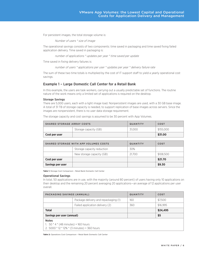<span id="page-5-0"></span>For persistent images, the total storage volume is:

Number of users \* size of image

The operational savings consists of two components: time saved in packaging and time saved fixing failed application delivery. Time saved in packaging is:

number of applications \* updates per year \* time saved per update

Time saved in fixing delivery failures is:

number of users \* applications per user \* updates per year \* delivery failure rate

The sum of these two time totals is multiplied by the cost of IT support staff to yield a yearly operational cost savings.

## Example 1 – Large Domestic Call Center for a Retail Bank

In this example, the users are task workers, carrying out a usually predictable set of functions. The routine nature of the work means only a limited set of applications is required on the desktop.

#### Storage Savings

There are 5,000 users, each with a light image load. Nonpersistent images are used, with a 30 GB base image. A total of 31 TB of storage capacity is needed, to support replication of base images across servers. Since the images are nonpersistent, there is no user data storage requirement.

The storage capacity and cost savings is assumed to be 30 percent with App Volumes.

| <b>SHARED STORAGE ARRAY COSTS</b> |                       | <b>QUANTITY</b> | COST      |
|-----------------------------------|-----------------------|-----------------|-----------|
|                                   | Storage capacity (GB) | 31.000          | \$155.000 |
| Cost per user                     |                       |                 | \$31.00   |

| SHARED STORAGE WITH APP VOLUMES COSTS |                            | <b>QUANTITY</b> | <b>COST</b> |
|---------------------------------------|----------------------------|-----------------|-------------|
|                                       | Storage capacity reduction | 30%             |             |
|                                       | New storage capacity (GB)  | 21.700          | \$108,500   |
| Cost per user                         |                            |                 | \$21.70     |
| Savings per user                      |                            |                 | \$9.30      |

**Table 1:** Storage Cost Comparison – Retail Bank Domestic Call Center

#### Operational Savings

In total, 50 applications are in use, with the majority (around 80 percent) of users having only 10 applications on their desktop and the remaining 20 percent averaging 20 applications—an average of 12 applications per user overall.

| PACKAGING SAVINGS (ANNUAL)                                                                                     |                                      | <b>QUANTITY</b> | COST     |
|----------------------------------------------------------------------------------------------------------------|--------------------------------------|-----------------|----------|
|                                                                                                                | Package delivery and repackaging (1) | 160             | \$7,500  |
|                                                                                                                | Failed application delivery (2)      | 360             | \$16.995 |
| <b>Total</b>                                                                                                   |                                      |                 | \$24,495 |
| Savings per user (annual)                                                                                      |                                      |                 | \$5      |
| <b>Notes</b><br>1. 50 $*$ 4 $*$ (48 minutes) = 160 hours<br>2. 5000 $*$ 12 $*$ 12% $*$ (3 minutes) = 360 hours |                                      |                 |          |

**Table 2:** Operations Cost Comparison – Retail Bank Domestic Call Center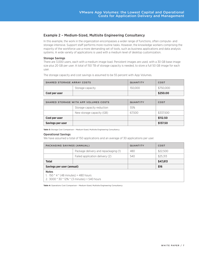## <span id="page-6-0"></span>Example 2 – Medium-Sized, Multisite Engineering Consultancy

In this example, the work in the organization encompasses a wider range of functions, often compute- and storage-intensive. Support staff performs more routine tasks. However, the knowledge workers comprising the majority of the workforce use a more demanding set of tools, such as business applications and data analysis systems. A wide variety of applications is used with a medium level of desktop customization.

### Storage Savings

There are 3,000 users, each with a medium image load. Persistent images are used, with a 30 GB base image size plus 20 GB per user. A total of 150 TB of storage capacity is needed, to store a full 50 GB image for each user.

The storage capacity and cost savings is assumed to be 55 percent with App Volumes.

| <b>SHARED STORAGE ARRAY COSTS</b> |                  | <b>QUANTITY</b> | COST      |
|-----------------------------------|------------------|-----------------|-----------|
|                                   | Storage capacity | 150.000         | \$750,000 |
| Cost per user                     |                  |                 | \$250,00  |

| SHARED STORAGE WITH APP VOLUMES COSTS |                            | <b>QUANTITY</b> | COST      |
|---------------------------------------|----------------------------|-----------------|-----------|
|                                       | Storage capacity reduction | 55%             |           |
|                                       | New storage capacity (GB)  | 67.500          | \$337,500 |
| Cost per user                         |                            |                 | \$112.50  |
| <b>Savings per user</b>               |                            |                 | \$137.50  |

**Table 3:** Storage Cost Comparison – Medium-Sized, Multisite Engineering Consultancy

#### Operational Savings

We have assumed a total of 150 applications and an average of 30 applications per user.

| PACKAGING SAVINGS (ANNUAL)                                                                                 |                                      | <b>QUANTITY</b> | COST     |
|------------------------------------------------------------------------------------------------------------|--------------------------------------|-----------------|----------|
|                                                                                                            | Package delivery and repackaging (1) | 480             | \$22,500 |
|                                                                                                            | Failed application delivery (2)      | 540             | \$25,313 |
| <b>Total</b>                                                                                               |                                      |                 | \$47,813 |
| Savings per user (annual)                                                                                  |                                      |                 | \$16     |
| <b>Notes</b><br>1. $150 * 4 * (48 minutes) = 480 hours$<br>2. $3000 * 30 * 12\% * (3 minutes) = 540 hours$ |                                      |                 |          |

**Table 4:** Operations Cost Comparison – Medium-Sized, Multisite Engineering Consultancy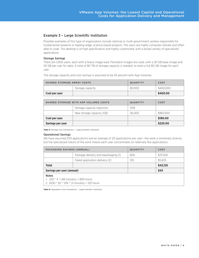## <span id="page-7-0"></span>Example 3 – Large Scientific Institution

Possible examples of this type of organization include national or multi-government centers responsible for fundamental research or leading-edge, science-based projects. The users are highly computer-literate and often able to code. The desktop is of high specification and highly customized, with a broad variety of specialized applications.

### Storage Savings

There are 1,000 users, each with a heavy image load. Persistent images are used, with a 30 GB base image and 50 GB per user for data. A total of 80 TB of storage capacity is needed, to store a full 80 GB image for each user.

The storage capacity and cost savings is assumed to be 55 percent with App Volumes.

| SHARED STORAGE ARRAY COSTS |                  | <b>QUANTITY</b> | COST      |
|----------------------------|------------------|-----------------|-----------|
|                            | Storage capacity | 80.000          | \$400.000 |
| Cost per user              |                  |                 | \$400,00  |

| SHARED STORAGE WITH APP VOLUMES COSTS |                            | <b>QUANTITY</b> | COST      |
|---------------------------------------|----------------------------|-----------------|-----------|
|                                       | Storage capacity reduction | 55%             |           |
|                                       | New storage capacity (GB)  | 36.000          | \$180,000 |
| Cost per user                         |                            |                 | \$180,00  |
| Savings per user                      |                            |                 | \$220,00  |

**Table 5:** Storage Cost Comparison – Large Scientific Institution

#### Operational Savings

We have assumed 250 applications and an average of 20 applications per user—the work is extremely diverse, but the specialized nature of the work means each user concentrates on relatively few applications.

| PACKAGING SAVINGS (ANNUAL)                                                                                 |                                      | <b>QUANTITY</b> | COST     |
|------------------------------------------------------------------------------------------------------------|--------------------------------------|-----------------|----------|
|                                                                                                            | Package delivery and repackaging (1) | 800             | \$37.500 |
|                                                                                                            | Failed application delivery (2)      | 120             | \$5,625  |
| <b>Total</b>                                                                                               |                                      |                 | \$43,125 |
| Savings per user (annual)                                                                                  |                                      |                 | \$43     |
| <b>Notes</b><br>1. $250 * 4 * (48 minutes) = 800 hours$<br>2. $1000 * 20 * 12\% * (3 minutes) = 120 hours$ |                                      |                 |          |

**Table 6:** Operations Cost Comparison – Large Scientific Institution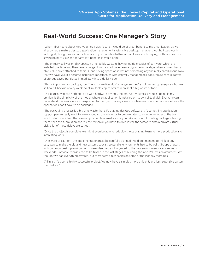## <span id="page-8-0"></span>Real-World Success: One Manager's Story

"When I first heard about App Volumes, I wasn't sure it would be of great benefit to my organization, as we already had a mature desktop application management system. My desktop manager thought it was worth looking at, though, so we carried out a study to decide whether or not it was worth buying, both from a costsaving point of view and for any soft benefits it would bring.

"The primary sell was on disk space. It's incredibly wasteful having multiple copies of software, which are installed one time and then never change. This may not have been a big issue in the days when all users had a physical C: drive attached to their PC and saving space on it was not something anyone really cared about. Now that we have VDI, it's become incredibly important, as with centrally managed desktop storage each gigabyte of storage saved translates immediately into a dollar value.

"This is important for backups, too. The software files don't change, so they're not backed up every day, but we still do full backups every week, so all multiple copies of files represent a big waste of tape.

"Our biggest win had nothing to do with hardware savings, though. App Volumes strongest point, in my opinion, is the simplicity of the model, where an application is installed on its own virtual disk. Everyone can understand this easily, once it's explained to them, and I always see a positive reaction when someone hears the applications don't have to be packaged.

"The packaging process is a big time waster here. Packaging desktop software isn't something application support people really want to learn about, so the job tends to be delegated to a single member of the team, which is far from ideal. The release cycle can take weeks, once you take account of building packages, testing them, then the submission and release. When all you have to do is install the software onto a private virtual disk, a lot of these delays are cut out.

"Once the project is complete, we might even be able to redeploy the packaging team to more productive and interesting work.

"One word of caution—the implementation must be carefully planned. We didn't manage to think of any easy way to make the old and new systems coexist, so parallel environments had to be built. Groups of users with common desktop environments were identified and migrated to the new environment over a series of weekends. Software releases had to be frozen in the last stages of building the App Volumes environment. We thought we had everything covered, but there were a few panics on some of the Monday mornings!

"All in all, it's been a highly successful project. We now have a simpler, more efficient, and less expensive system than before."